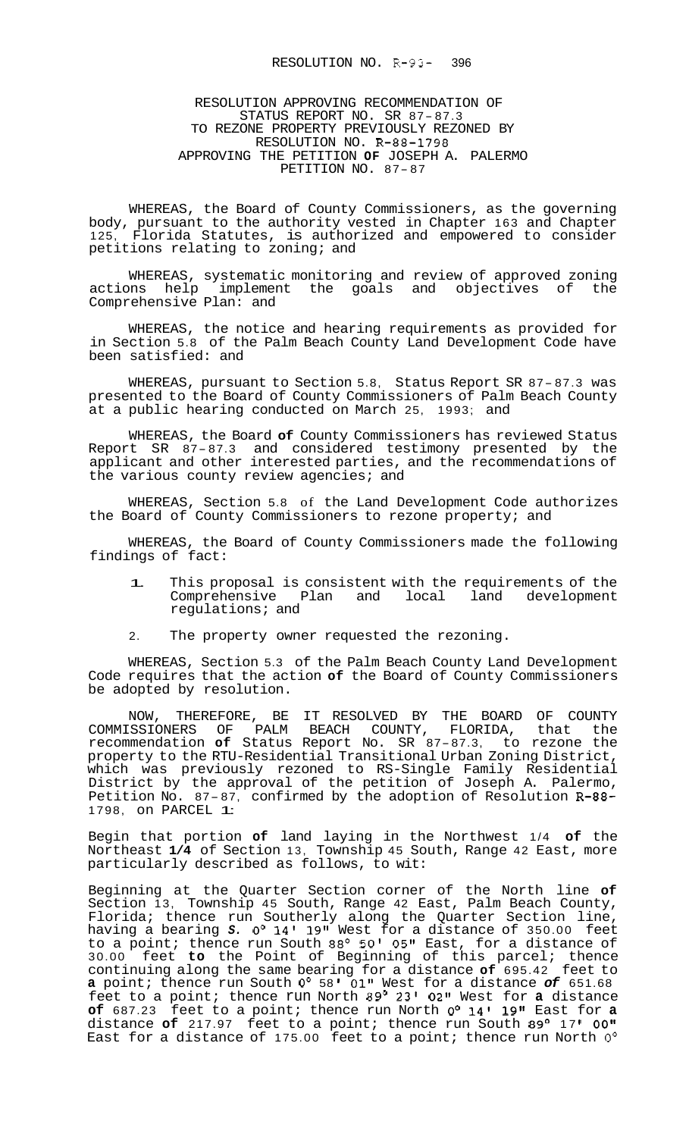## RESOLUTION APPROVING RECOMMENDATION OF STATUS REPORT NO. SR 87- 87.3 TO REZONE PROPERTY PREVIOUSLY REZONED BY RESOLUTION NO. R-88-1798 APPROVING THE PETITION **OF** JOSEPH A. PALERMO PETITION NO. 87- <sup>87</sup>

WHEREAS, the Board of County Commissioners, as the governing body, pursuant to the authority vested in Chapter 163 and Chapter 125, Florida Statutes, is authorized and empowered to consider petitions relating to zoning; and

WHEREAS, systematic monitoring and review of approved zoning actions help implement the goals and objectives of the Comprehensive Plan: and

WHEREAS, the notice and hearing requirements as provided for in Section 5.8 of the Palm Beach County Land Development Code have been satisfied: and

WHEREAS, pursuant to Section 5.8, Status Report SR 87- 87.3 was presented to the Board of County Commissioners of Palm Beach County at a public hearing conducted on March 25, 1993; and

WHEREAS, the Board **of** County Commissioners has reviewed Status whikkas, the Board **or** County Commissioners has reviewed status<br>Report SR 87-87.3 and considered testimony presented by the applicant and other interested parties, and the recommendations of the various county review agencies; and

WHEREAS, Section 5.8 of the Land Development Code authorizes the Board of County Commissioners to rezone property; and

WHEREAS, the Board of County Commissioners made the following findings of fact:

- 1. This proposal is consistent with the requirements of the<br>Comprehensive Plan and local land development Comprehensive Plan and regulations; and
- 2. The property owner requested the rezoning.

WHEREAS, Section 5.3 of the Palm Beach County Land Development Code requires that the action **of** the Board of County Commissioners be adopted by resolution.

NOW, THEREFORE, BE IT RESOLVED BY THE BOARD OF COUNTY COMMISSIONERS OF PALM BEACH COUNTY, FLORIDA, that the recommendation **of** Status Report No. SR 87-87.3, to rezone the property to the RTU-Residential Transitional Urban Zoning District, which was previously rezoned to RS-Single Family Residential District by the approval of the petition of Joseph A. Palermo, Petition No. 87-87, confirmed by the adoption of Resolution R-88- 1798, on PARCEL 1:

Begin that portion **of** land laying in the Northwest 1/4 **of** the Northeast **1/4** of Section 13, Township 45 South, Range 42 East, more particularly described as follows, to wit:

Beginning at the Quarter Section corner of the North line **of**  Section 13, Township 45 South, Range 42 East, Palm Beach County, Florida; thence run Southerly along the Quarter Section line, having a bearing *S. 0'* 14' 19" West for a distance of 350.00 feet to a point; thence run South 88° 50' 05" East, for a distance of 30.00 feet **to** the Point of Beginning of this parcel; thence continuing along the same bearing for a distance **of** 695.42 feet to **a** point; thence run South *0'* 58 01'' West for a distance *of* 651.68 feet to a point; thence run North 89' 23' **02"** West for **a** distance **of** 687.23 feet to a point; thence run North *0'* 14' 19If East for **a**  distance of 217.97 feet to a point; thence run South 89° 17' 00" East for a distance of 175.00 feet to a point; thence run North *0'*